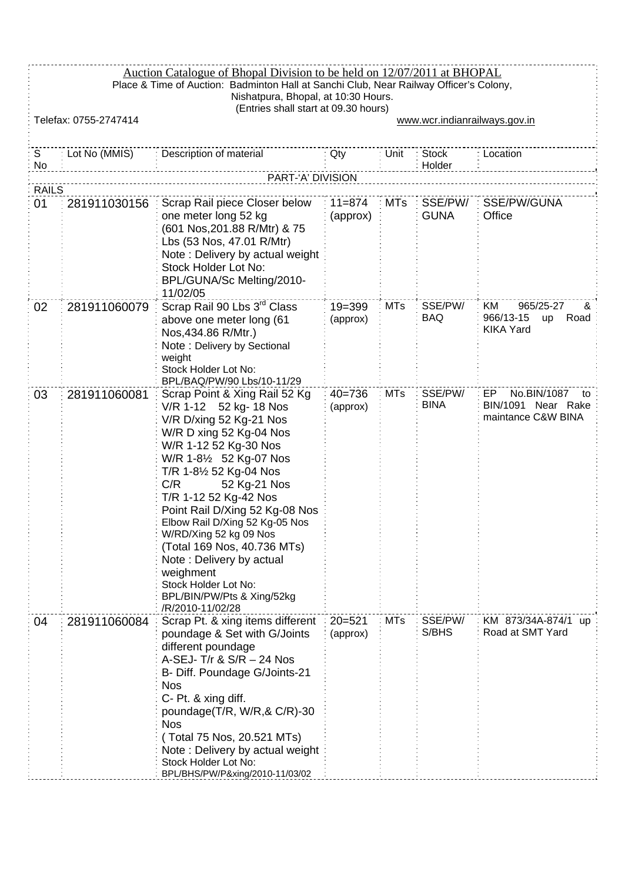|              | Auction Catalogue of Bhopal Division to be held on 12/07/2011 at BHOPAL<br>Place & Time of Auction: Badminton Hall at Sanchi Club, Near Railway Officer's Colony,<br>Nishatpura, Bhopal, at 10:30 Hours. |                                                                                                                                                                                                                                                                                                                                                                                                                                                                                            |                        |            |                        |                                                                      |  |
|--------------|----------------------------------------------------------------------------------------------------------------------------------------------------------------------------------------------------------|--------------------------------------------------------------------------------------------------------------------------------------------------------------------------------------------------------------------------------------------------------------------------------------------------------------------------------------------------------------------------------------------------------------------------------------------------------------------------------------------|------------------------|------------|------------------------|----------------------------------------------------------------------|--|
|              | (Entries shall start at 09.30 hours)<br>Telefax: 0755-2747414<br>www.wcr.indianrailways.gov.in                                                                                                           |                                                                                                                                                                                                                                                                                                                                                                                                                                                                                            |                        |            |                        |                                                                      |  |
| S<br>No      | Lot No (MMIS)                                                                                                                                                                                            | Description of material                                                                                                                                                                                                                                                                                                                                                                                                                                                                    | Qty                    | Unit       | <b>Stock</b><br>Holder | Location                                                             |  |
|              |                                                                                                                                                                                                          | PART-'A' DIVISION                                                                                                                                                                                                                                                                                                                                                                                                                                                                          |                        |            |                        |                                                                      |  |
| <b>RAILS</b> |                                                                                                                                                                                                          |                                                                                                                                                                                                                                                                                                                                                                                                                                                                                            |                        |            |                        |                                                                      |  |
| 01           | 281911030156                                                                                                                                                                                             | Scrap Rail piece Closer below<br>one meter long 52 kg<br>(601 Nos,201.88 R/Mtr) & 75<br>Lbs (53 Nos, 47.01 R/Mtr)<br>Note: Delivery by actual weight<br>Stock Holder Lot No:<br>BPL/GUNA/Sc Melting/2010-<br>11/02/05                                                                                                                                                                                                                                                                      | $11 = 874$<br>(approx) | MTs        | SSE/PW/<br><b>GUNA</b> | SSE/PW/GUNA<br>Office                                                |  |
| 02           | 281911060079                                                                                                                                                                                             | Scrap Rail 90 Lbs 3rd Class<br>above one meter long (61<br>Nos, 434.86 R/Mtr.)<br>Note: Delivery by Sectional<br>weight<br>Stock Holder Lot No:<br>BPL/BAQ/PW/90 Lbs/10-11/29                                                                                                                                                                                                                                                                                                              | $19 = 399$<br>(approx) | <b>MTs</b> | SSE/PW/<br><b>BAQ</b>  | 965/25-27<br>KM.<br>&<br>966/13-15<br>Road<br>up<br><b>KIKA Yard</b> |  |
| 03           | 281911060081                                                                                                                                                                                             | Scrap Point & Xing Rail 52 Kg<br>V/R 1-12 52 kg- 18 Nos<br>V/R D/xing 52 Kg-21 Nos<br>W/R D xing 52 Kg-04 Nos<br>W/R 1-12 52 Kg-30 Nos<br>W/R 1-81/2 52 Kg-07 Nos<br>T/R 1-8½ 52 Kg-04 Nos<br>52 Kg-21 Nos<br>C/R<br>T/R 1-12 52 Kg-42 Nos<br>Point Rail D/Xing 52 Kg-08 Nos<br>Elbow Rail D/Xing 52 Kg-05 Nos<br>W/RD/Xing 52 kg 09 Nos<br>(Total 169 Nos, 40.736 MTs)<br>Note: Delivery by actual<br>weighment<br>Stock Holder Lot No:<br>BPL/BIN/PW/Pts & Xing/52kg<br>/R/2010-11/02/28 | $40 = 736$<br>(approx) | <b>MTs</b> | SSE/PW/<br><b>BINA</b> | No.BIN/1087<br>EP<br>to<br>BIN/1091 Near Rake<br>maintance C&W BINA  |  |
| 04           | 281911060084                                                                                                                                                                                             | Scrap Pt. & xing items different<br>poundage & Set with G/Joints<br>different poundage<br>A-SEJ- T/r & $S/R - 24$ Nos<br>B- Diff. Poundage G/Joints-21<br><b>Nos</b><br>C- Pt. & xing diff.<br>poundage $(T/R, W/R, & C/R)$ -30<br><b>Nos</b><br>(Total 75 Nos, 20.521 MTs)<br>Note: Delivery by actual weight<br>Stock Holder Lot No:<br>BPL/BHS/PW/P&xing/2010-11/03/02                                                                                                                  | $20 = 521$<br>(approx) | <b>MTs</b> | SSE/PW/<br>S/BHS       | KM 873/34A-874/1 up<br>Road at SMT Yard                              |  |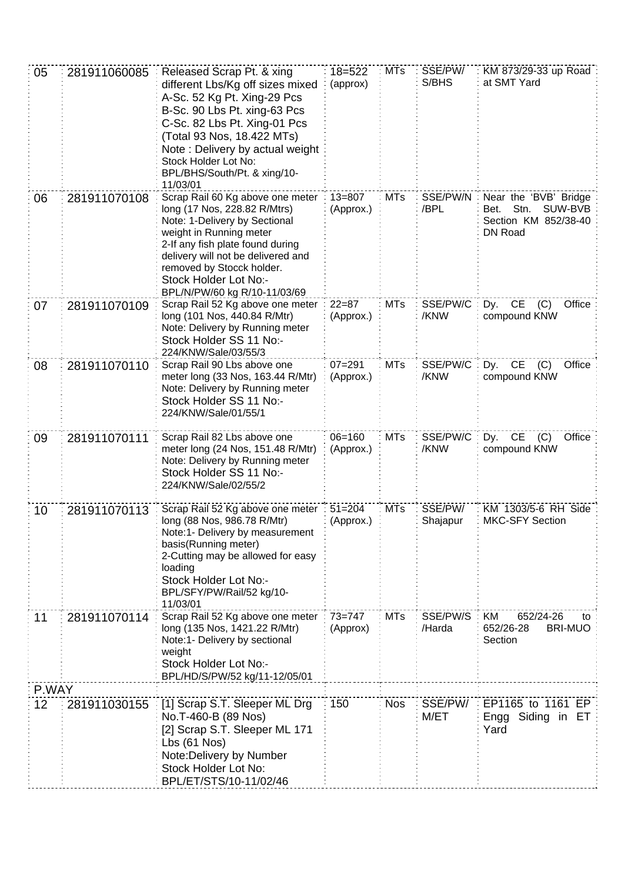| 05              | 281911060085 | Released Scrap Pt. & xing                                            | $18 = 522$             | <b>MTs</b> | SSE/PW/          | KM 873/29-33 up Road                            |
|-----------------|--------------|----------------------------------------------------------------------|------------------------|------------|------------------|-------------------------------------------------|
|                 |              | different Lbs/Kg off sizes mixed<br>A-Sc. 52 Kg Pt. Xing-29 Pcs      | (approx)               |            | S/BHS            | at SMT Yard                                     |
|                 |              | B-Sc. 90 Lbs Pt. xing-63 Pcs                                         |                        |            |                  |                                                 |
|                 |              | C-Sc. 82 Lbs Pt. Xing-01 Pcs                                         |                        |            |                  |                                                 |
|                 |              | (Total 93 Nos, 18.422 MTs)                                           |                        |            |                  |                                                 |
|                 |              | Note: Delivery by actual weight<br>Stock Holder Lot No:              |                        |            |                  |                                                 |
|                 |              | BPL/BHS/South/Pt. & xing/10-                                         |                        |            |                  |                                                 |
|                 |              | 11/03/01                                                             |                        |            |                  |                                                 |
| 06              | 281911070108 | Scrap Rail 60 Kg above one meter                                     | $13 = 807$             | <b>MTs</b> | SSE/PW/N         | Near the 'BVB' Bridge                           |
|                 |              | long (17 Nos, 228.82 R/Mtrs)<br>Note: 1-Delivery by Sectional        | (Approx.)              |            | /BPL             | Stn.<br>SUW-BVB<br>Bet.<br>Section KM 852/38-40 |
|                 |              | weight in Running meter                                              |                        |            |                  | DN Road                                         |
|                 |              | 2-If any fish plate found during                                     |                        |            |                  |                                                 |
|                 |              | delivery will not be delivered and<br>removed by Stocck holder.      |                        |            |                  |                                                 |
|                 |              | Stock Holder Lot No:-                                                |                        |            |                  |                                                 |
|                 |              | BPL/N/PW/60 kg R/10-11/03/69                                         |                        |            |                  |                                                 |
| 07              | 281911070109 | Scrap Rail 52 Kg above one meter<br>long (101 Nos, 440.84 R/Mtr)     | $22 = 87$<br>(Approx.) | <b>MTs</b> | SSE/PW/C<br>/KNW | Dy. CE<br>(C)<br>Office<br>compound KNW         |
|                 |              | Note: Delivery by Running meter                                      |                        |            |                  |                                                 |
|                 |              | Stock Holder SS 11 No:-                                              |                        |            |                  |                                                 |
|                 |              | 224/KNW/Sale/03/55/3<br>Scrap Rail 90 Lbs above one                  | $07 = 291$             | <b>MTs</b> | SSE/PW/C         | Dy. CE<br>(C)<br>Office                         |
| 08              | 281911070110 | meter long (33 Nos, 163.44 R/Mtr)                                    | (Approx.)              |            | /KNW             | compound KNW                                    |
|                 |              | Note: Delivery by Running meter                                      |                        |            |                  |                                                 |
|                 |              | Stock Holder SS 11 No:-                                              |                        |            |                  |                                                 |
|                 |              | 224/KNW/Sale/01/55/1                                                 |                        |            |                  |                                                 |
| 09              | 281911070111 | Scrap Rail 82 Lbs above one                                          | $06 = 160$             | <b>MTs</b> | SSE/PW/C         | <b>CE</b><br>Office<br>(C)<br>Dy.               |
|                 |              | meter long (24 Nos, 151.48 R/Mtr)<br>Note: Delivery by Running meter | (Approx.)              |            | /KNW             | compound KNW                                    |
|                 |              | Stock Holder SS 11 No:-                                              |                        |            |                  |                                                 |
|                 |              | 224/KNW/Sale/02/55/2                                                 |                        |            |                  |                                                 |
| 10              | 281911070113 | Scrap Rail 52 Kg above one meter : 51=204                            |                        | <b>MTs</b> | SSE/PW/          | KM 1303/5-6 RH Side                             |
|                 |              | long (88 Nos, 986.78 R/Mtr)                                          | : (Approx.)            |            | Shajapur         | MKC-SFY Section                                 |
|                 |              | Note:1- Delivery by measurement                                      |                        |            |                  |                                                 |
|                 |              | basis(Running meter)<br>2-Cutting may be allowed for easy            |                        |            |                  |                                                 |
|                 |              | loading                                                              |                        |            |                  |                                                 |
|                 |              | Stock Holder Lot No:-                                                |                        |            |                  |                                                 |
|                 |              | BPL/SFY/PW/Rail/52 kg/10-<br>11/03/01                                |                        |            |                  |                                                 |
| 11              | 281911070114 | Scrap Rail 52 Kg above one meter                                     | $73 = 747$             | <b>MTs</b> | SSE/PW/S         | KM<br>652/24-26<br>to                           |
|                 |              | long (135 Nos, 1421.22 R/Mtr)                                        | (Approx)               |            | /Harda           | 652/26-28<br><b>BRI-MUO</b>                     |
|                 |              | Note:1- Delivery by sectional                                        |                        |            |                  | Section                                         |
|                 |              | weight<br>Stock Holder Lot No:-                                      |                        |            |                  |                                                 |
|                 |              | BPL/HD/S/PW/52 kg/11-12/05/01                                        |                        |            |                  |                                                 |
| P.WAY           |              |                                                                      |                        |            |                  |                                                 |
| 12 <sub>2</sub> | 281911030155 | [1] Scrap S.T. Sleeper ML Drg                                        | 150                    | <b>Nos</b> | SSE/PW/          | EP1165 to 1161 EP                               |
|                 |              | No.T-460-B (89 Nos)<br>[2] Scrap S.T. Sleeper ML 171                 |                        |            | M/ET             | Siding in ET<br>Engg<br>Yard                    |
|                 |              | Lbs(61 Nos)                                                          |                        |            |                  |                                                 |
|                 |              | Note: Delivery by Number                                             |                        |            |                  |                                                 |
|                 |              | Stock Holder Lot No:                                                 |                        |            |                  |                                                 |
|                 |              | BPL/ET/STS/10-11/02/46                                               |                        |            |                  |                                                 |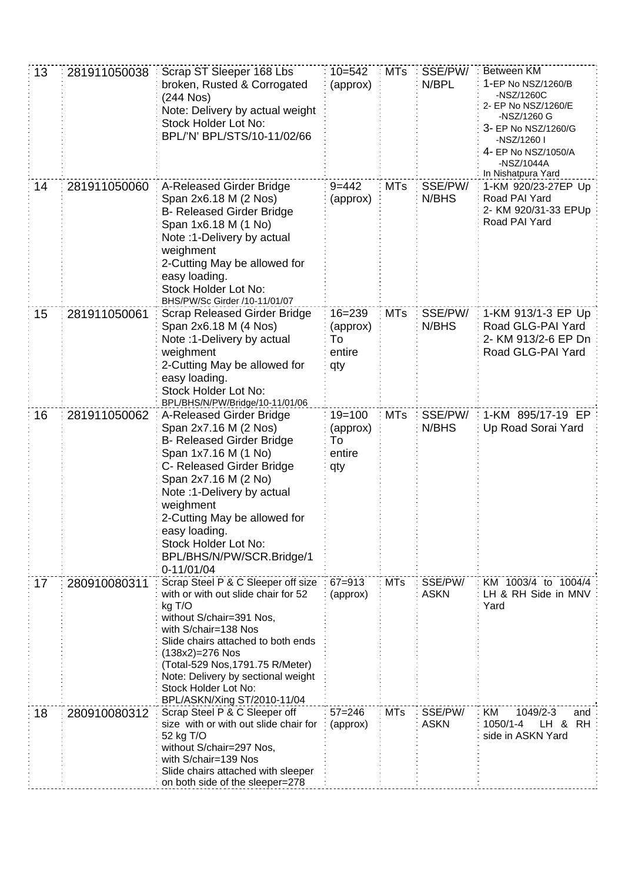| 13 | 281911050038 | Scrap ST Sleeper 168 Lbs<br>broken, Rusted & Corrogated<br>(244 Nos)<br>Note: Delivery by actual weight<br>Stock Holder Lot No:<br>BPL/'N' BPL/STS/10-11/02/66                                                                                                                                                                      | $10 = 542$<br>(approx)                        | <b>MTs</b> | SSE/PW/<br>N/BPL       | Between KM<br>1-EP No NSZ/1260/B<br>-NSZ/1260C<br>2- EP No NSZ/1260/E<br>-NSZ/1260 G<br>3- EP No NSZ/1260/G<br>-NSZ/1260 I<br>4- EP No NSZ/1050/A<br>-NSZ/1044A<br>In Nishatpura Yard |
|----|--------------|-------------------------------------------------------------------------------------------------------------------------------------------------------------------------------------------------------------------------------------------------------------------------------------------------------------------------------------|-----------------------------------------------|------------|------------------------|---------------------------------------------------------------------------------------------------------------------------------------------------------------------------------------|
| 14 | 281911050060 | A-Released Girder Bridge<br>Span 2x6.18 M (2 Nos)<br><b>B- Released Girder Bridge</b><br>Span 1x6.18 M (1 No)<br>Note: 1-Delivery by actual<br>weighment<br>2-Cutting May be allowed for<br>easy loading.<br>Stock Holder Lot No:<br>BHS/PW/Sc Girder /10-11/01/07                                                                  | $9 = 442$<br>(approx)                         | <b>MTs</b> | SSE/PW/<br>N/BHS       | 1-KM 920/23-27EP Up<br>Road PAI Yard<br>2- KM 920/31-33 EPUp<br>Road PAI Yard                                                                                                         |
| 15 | 281911050061 | <b>Scrap Released Girder Bridge</b><br>Span 2x6.18 M (4 Nos)<br>Note :1-Delivery by actual<br>weighment<br>2-Cutting May be allowed for<br>easy loading.<br>Stock Holder Lot No:<br>BPL/BHS/N/PW/Bridge/10-11/01/06                                                                                                                 | $16 = 239$<br>(approx)<br>To<br>entire<br>qty | <b>MTs</b> | SSE/PW/<br>N/BHS       | 1-KM 913/1-3 EP Up<br>Road GLG-PAI Yard<br>2- KM 913/2-6 EP Dn<br>Road GLG-PAI Yard                                                                                                   |
| 16 | 281911050062 | A-Released Girder Bridge<br>Span 2x7.16 M (2 Nos)<br><b>B- Released Girder Bridge</b><br>Span 1x7.16 M (1 No)<br>C- Released Girder Bridge<br>Span 2x7.16 M (2 No)<br>Note: 1-Delivery by actual<br>weighment<br>2-Cutting May be allowed for<br>easy loading.<br>Stock Holder Lot No:<br>BPL/BHS/N/PW/SCR.Bridge/1<br>$0-11/01/04$ | $19 = 100$<br>(approx)<br>To<br>entire<br>qty | <b>MTs</b> | SSE/PW/<br>N/BHS       | 1-KM 895/17-19 EP<br>Up Road Sorai Yard                                                                                                                                               |
| 17 | 280910080311 | Scrap Steel P & C Sleeper off size<br>with or with out slide chair for 52<br>kg T/O<br>without S/chair=391 Nos,<br>with S/chair=138 Nos<br>Slide chairs attached to both ends<br>(138x2)=276 Nos<br>(Total-529 Nos, 1791.75 R/Meter)<br>Note: Delivery by sectional weight<br>Stock Holder Lot No:<br>BPL/ASKN/Xing ST/2010-11/04   | $67 = 913$<br>(approx)                        | <b>MTs</b> | SSE/PW/<br><b>ASKN</b> | KM 1003/4 to 1004/4<br>LH & RH Side in MNV<br>Yard                                                                                                                                    |
| 18 | 280910080312 | Scrap Steel P & C Sleeper off<br>size with or with out slide chair for<br>52 kg T/O<br>without S/chair=297 Nos,<br>with S/chair=139 Nos<br>Slide chairs attached with sleeper<br>on both side of the sleeper=278                                                                                                                    | $57 = 246$<br>(approx)                        | <b>MTs</b> | SSE/PW/<br><b>ASKN</b> | KM<br>1049/2-3<br>and<br>1050/1-4<br><b>RH</b><br>LH &<br>side in ASKN Yard                                                                                                           |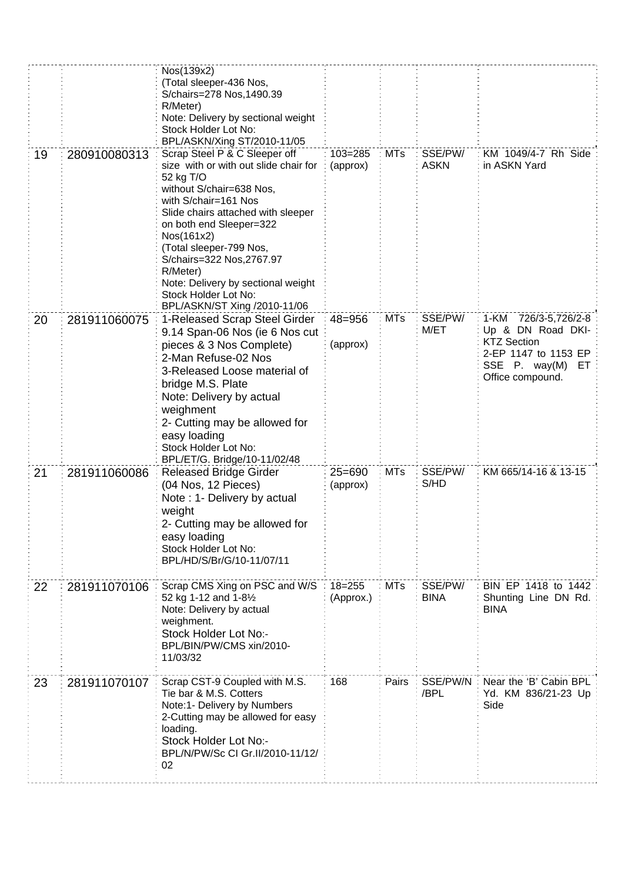|    |              | Nos(139x2)<br>(Total sleeper-436 Nos,<br>S/chairs=278 Nos, 1490.39<br>R/Meter)<br>Note: Delivery by sectional weight<br>Stock Holder Lot No:<br>BPL/ASKN/Xing ST/2010-11/05                                                                                                                                                                                                              |                         |            |                        |                                                                                                                                        |
|----|--------------|------------------------------------------------------------------------------------------------------------------------------------------------------------------------------------------------------------------------------------------------------------------------------------------------------------------------------------------------------------------------------------------|-------------------------|------------|------------------------|----------------------------------------------------------------------------------------------------------------------------------------|
| 19 | 280910080313 | Scrap Steel P & C Sleeper off<br>size with or with out slide chair for<br>52 kg T/O<br>without S/chair=638 Nos,<br>with S/chair=161 Nos<br>Slide chairs attached with sleeper<br>on both end Sleeper=322<br>Nos(161x2)<br>(Total sleeper-799 Nos,<br>S/chairs=322 Nos, 2767.97<br>R/Meter)<br>Note: Delivery by sectional weight<br>Stock Holder Lot No:<br>BPL/ASKN/ST Xing /2010-11/06 | 103=285<br>(approx)     | <b>MTs</b> | SSE/PW/<br><b>ASKN</b> | KM 1049/4-7 Rh Side<br>in ASKN Yard                                                                                                    |
| 20 | 281911060075 | 1-Released Scrap Steel Girder<br>9.14 Span-06 Nos (ie 6 Nos cut<br>pieces & 3 Nos Complete)<br>2-Man Refuse-02 Nos<br>3-Released Loose material of<br>bridge M.S. Plate<br>Note: Delivery by actual<br>weighment<br>2- Cutting may be allowed for<br>easy loading<br>Stock Holder Lot No:<br>BPL/ET/G. Bridge/10-11/02/48                                                                | $48 = 956$<br>(approx)  | <b>MTs</b> | SSE/PW/<br>M/ET        | 1-KM<br>726/3-5,726/2-8<br>Up & DN Road DKI-<br><b>KTZ Section</b><br>2-EP 1147 to 1153 EP<br>SSE P. way(M)<br>ET.<br>Office compound. |
| 21 | 281911060086 | <b>Released Bridge Girder</b><br>(04 Nos, 12 Pieces)<br>Note: 1- Delivery by actual<br>weight<br>2- Cutting may be allowed for<br>easy loading<br>Stock Holder Lot No:<br>BPL/HD/S/Br/G/10-11/07/11                                                                                                                                                                                      | $25 = 690$<br>(approx)  | <b>MTs</b> | SSE/PW/<br>S/HD        | KM 665/14-16 & 13-15                                                                                                                   |
| 22 | 281911070106 | Scrap CMS Xing on PSC and W/S<br>52 kg 1-12 and 1-81/2<br>Note: Delivery by actual<br>weighment.<br>Stock Holder Lot No:-<br>BPL/BIN/PW/CMS xin/2010-<br>11/03/32                                                                                                                                                                                                                        | $18 = 255$<br>(Approx.) | <b>MTs</b> | SSE/PW/<br><b>BINA</b> | BIN EP 1418 to 1442<br>Shunting Line DN Rd.<br><b>BINA</b>                                                                             |
| 23 | 281911070107 | Scrap CST-9 Coupled with M.S.<br>Tie bar & M.S. Cotters<br>Note:1- Delivery by Numbers<br>2-Cutting may be allowed for easy<br>loading.<br>Stock Holder Lot No:-<br>BPL/N/PW/Sc CI Gr.II/2010-11/12/<br>02                                                                                                                                                                               | 168                     | Pairs      | SSE/PW/N<br>/BPL       | Near the 'B' Cabin BPL<br>Yd. KM 836/21-23 Up<br>Side                                                                                  |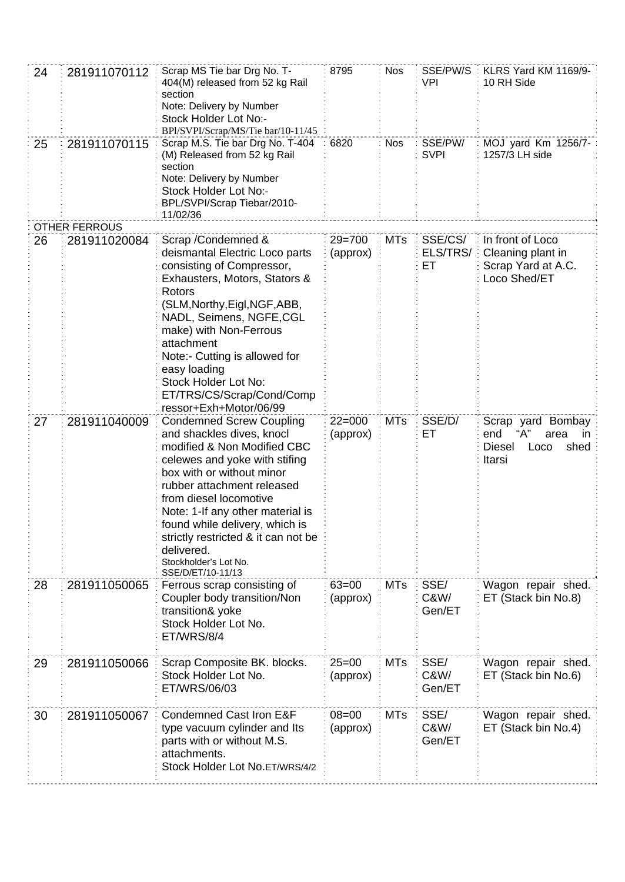| 24<br>25 | 281911070112<br>281911070115 | Scrap MS Tie bar Drg No. T-<br>404(M) released from 52 kg Rail<br>section<br>Note: Delivery by Number<br>Stock Holder Lot No:-<br>BPl/SVPI/Scrap/MS/Tie bar/10-11/45<br>Scrap M.S. Tie bar Drg No. T-404                                                                                                                                                                                   | 8795<br>6820           | <b>Nos</b><br><b>Nos</b> | SSE/PW/S<br>VPI<br>SSE/PW/ | KLRS Yard KM 1169/9-<br>10 RH Side<br>MOJ yard Km 1256/7-                                |
|----------|------------------------------|--------------------------------------------------------------------------------------------------------------------------------------------------------------------------------------------------------------------------------------------------------------------------------------------------------------------------------------------------------------------------------------------|------------------------|--------------------------|----------------------------|------------------------------------------------------------------------------------------|
|          |                              | (M) Released from 52 kg Rail<br>section<br>Note: Delivery by Number<br>Stock Holder Lot No:-<br>BPL/SVPI/Scrap Tiebar/2010-<br>11/02/36                                                                                                                                                                                                                                                    |                        |                          | <b>SVPI</b>                | 1257/3 LH side                                                                           |
|          | <b>OTHER FERROUS</b>         |                                                                                                                                                                                                                                                                                                                                                                                            |                        |                          |                            |                                                                                          |
| 26       | 281911020084                 | Scrap / Condemned &<br>deismantal Electric Loco parts<br>consisting of Compressor,<br>Exhausters, Motors, Stators &<br>Rotors<br>(SLM, Northy, Eigl, NGF, ABB,<br>NADL, Seimens, NGFE, CGL<br>make) with Non-Ferrous<br>attachment<br>Note:- Cutting is allowed for<br>easy loading<br>Stock Holder Lot No:<br>ET/TRS/CS/Scrap/Cond/Comp<br>ressor+Exh+Motor/06/99                         | $29 = 700$<br>(approx) | <b>MTs</b>               | SSE/CS/<br>ELS/TRS/<br>EТ  | In front of Loco<br>Cleaning plant in<br>Scrap Yard at A.C.<br>Loco Shed/ET              |
| 27       | 281911040009                 | <b>Condemned Screw Coupling</b><br>and shackles dives, knocl<br>modified & Non Modified CBC<br>celewes and yoke with stifing<br>box with or without minor<br>rubber attachment released<br>from diesel locomotive<br>Note: 1-If any other material is<br>found while delivery, which is<br>strictly restricted & it can not be<br>delivered.<br>Stockholder's Lot No.<br>SSE/D/ET/10-11/13 | $22 = 000$<br>(approx) | <b>MTs</b>               | SSE/D/<br>ET               | Scrap yard Bombay<br>end<br>"А"<br>area<br>in<br>shed<br><b>Diesel</b><br>Loco<br>Itarsi |
| 28       | 281911050065                 | Ferrous scrap consisting of<br>Coupler body transition/Non<br>transition& yoke<br>Stock Holder Lot No.<br>ET/WRS/8/4                                                                                                                                                                                                                                                                       | $63 = 00$<br>(approx)  | <b>MTs</b>               | SSE/<br>C&W/<br>Gen/ET     | Wagon repair shed.<br>ET (Stack bin No.8)                                                |
| 29       | 281911050066                 | Scrap Composite BK. blocks.<br>Stock Holder Lot No.<br>ET/WRS/06/03                                                                                                                                                                                                                                                                                                                        | $25=00$<br>(approx)    | <b>MTs</b>               | SSE/<br>C&W/<br>Gen/ET     | Wagon repair shed.<br>ET (Stack bin No.6)                                                |
| 30       | 281911050067                 | Condemned Cast Iron E&F<br>type vacuum cylinder and Its<br>parts with or without M.S.<br>attachments.<br>Stock Holder Lot No.ET/WRS/4/2                                                                                                                                                                                                                                                    | $08 = 00$<br>(approx)  | <b>MTs</b>               | SSE/<br>C&W/<br>Gen/ET     | Wagon repair shed.<br>ET (Stack bin No.4)                                                |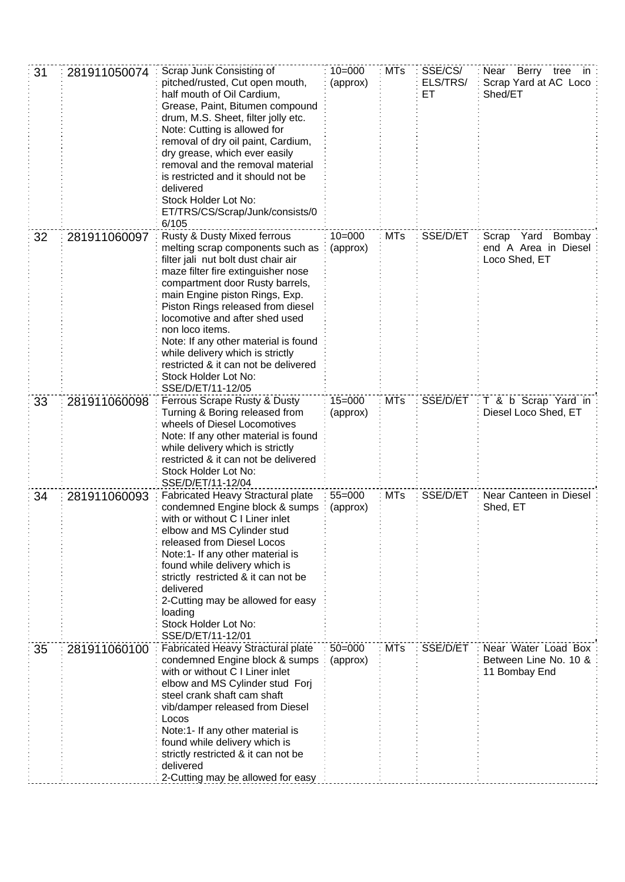| 31 | 281911050074 | Scrap Junk Consisting of<br>pitched/rusted, Cut open mouth,<br>half mouth of Oil Cardium,<br>Grease, Paint, Bitumen compound<br>drum, M.S. Sheet, filter jolly etc.<br>Note: Cutting is allowed for<br>removal of dry oil paint, Cardium,<br>dry grease, which ever easily<br>removal and the removal material<br>is restricted and it should not be<br>delivered<br>Stock Holder Lot No:<br>ET/TRS/CS/Scrap/Junk/consists/0<br>6/105                                        | $10 = 000$<br>(approx) | <b>MTs</b> | SSE/CS/<br>ELS/TRS/<br>ET | Near Berry tree in<br>Scrap Yard at AC Loco<br>Shed/ET        |
|----|--------------|------------------------------------------------------------------------------------------------------------------------------------------------------------------------------------------------------------------------------------------------------------------------------------------------------------------------------------------------------------------------------------------------------------------------------------------------------------------------------|------------------------|------------|---------------------------|---------------------------------------------------------------|
| 32 | 281911060097 | Rusty & Dusty Mixed ferrous<br>melting scrap components such as<br>filter jali nut bolt dust chair air<br>maze filter fire extinguisher nose<br>compartment door Rusty barrels,<br>main Engine piston Rings, Exp.<br>Piston Rings released from diesel<br>locomotive and after shed used<br>non loco items.<br>Note: If any other material is found<br>while delivery which is strictly<br>restricted & it can not be delivered<br>Stock Holder Lot No:<br>SSE/D/ET/11-12/05 | $10 = 000$<br>(approx) | <b>MTs</b> | SSE/D/ET                  | Scrap<br>Yard Bombay<br>end A Area in Diesel<br>Loco Shed, ET |
| 33 | 281911060098 | Ferrous Scrape Rusty & Dusty<br>Turning & Boring released from<br>wheels of Diesel Locomotives<br>Note: If any other material is found<br>while delivery which is strictly<br>restricted & it can not be delivered<br>Stock Holder Lot No:<br>SSE/D/ET/11-12/04                                                                                                                                                                                                              | $15 = 000$<br>(approx) | <b>MTs</b> | SSE/D/ET                  | T & b Scrap Yard in<br>Diesel Loco Shed, ET                   |
| 34 | 281911060093 | Fabricated Heavy Stractural plate<br>condemned Engine block & sumps<br>with or without C I Liner inlet<br>elbow and MS Cylinder stud<br>released from Diesel Locos<br>Note:1- If any other material is<br>found while delivery which is<br>strictly restricted & it can not be<br>delivered<br>2-Cutting may be allowed for easy<br>loading<br>Stock Holder Lot No:<br>SSE/D/ET/11-12/01                                                                                     | $55 = 000$<br>(approx) | <b>MTs</b> | SSE/D/ET                  | Near Canteen in Diesel<br>Shed, ET                            |
| 35 | 281911060100 | Fabricated Heavy Stractural plate<br>condemned Engine block & sumps<br>with or without C I Liner inlet<br>elbow and MS Cylinder stud Forj<br>steel crank shaft cam shaft<br>vib/damper released from Diesel<br>Locos<br>Note:1- If any other material is<br>found while delivery which is<br>strictly restricted & it can not be<br>delivered<br>2-Cutting may be allowed for easy                                                                                           | $50 = 000$<br>(approx) | <b>MTs</b> | SSE/D/ET                  | Near Water Load Box<br>Between Line No. 10 &<br>11 Bombay End |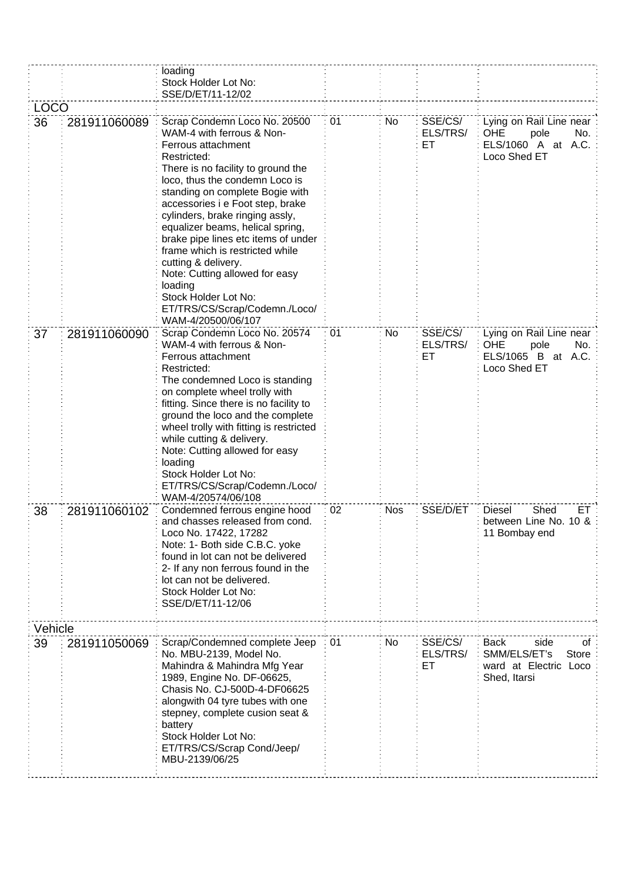|         |              | loading<br>Stock Holder Lot No:<br>SSE/D/ET/11-12/02                                                                                                                                                                                                                                                                                                                                                                                                                                                                                              |    |            |                           |                                                                                             |
|---------|--------------|---------------------------------------------------------------------------------------------------------------------------------------------------------------------------------------------------------------------------------------------------------------------------------------------------------------------------------------------------------------------------------------------------------------------------------------------------------------------------------------------------------------------------------------------------|----|------------|---------------------------|---------------------------------------------------------------------------------------------|
| LOCO    |              |                                                                                                                                                                                                                                                                                                                                                                                                                                                                                                                                                   |    |            |                           |                                                                                             |
| 36      | 281911060089 | Scrap Condemn Loco No. 20500<br>WAM-4 with ferrous & Non-<br>Ferrous attachment<br>Restricted:<br>There is no facility to ground the<br>loco, thus the condemn Loco is<br>standing on complete Bogie with<br>accessories i e Foot step, brake<br>cylinders, brake ringing assly,<br>equalizer beams, helical spring,<br>brake pipe lines etc items of under<br>frame which is restricted while<br>cutting & delivery.<br>Note: Cutting allowed for easy<br>loading<br>Stock Holder Lot No:<br>ET/TRS/CS/Scrap/Codemn./Loco/<br>WAM-4/20500/06/107 | 01 | No         | SSE/CS/<br>ELS/TRS/<br>ET | Lying on Rail Line near<br><b>OHE</b><br>pole<br>No.<br>ELS/1060 A at A.C.<br>Loco Shed ET  |
| 37      | 281911060090 | Scrap Condemn Loco No. 20574<br>WAM-4 with ferrous & Non-<br>Ferrous attachment<br>Restricted:<br>The condemned Loco is standing<br>on complete wheel trolly with<br>fitting. Since there is no facility to<br>ground the loco and the complete<br>wheel trolly with fitting is restricted<br>while cutting & delivery.<br>Note: Cutting allowed for easy<br>loading<br>Stock Holder Lot No:<br>ET/TRS/CS/Scrap/Codemn./Loco/<br>WAM-4/20574/06/108                                                                                               | 01 | No         | SSE/CS/<br>ELS/TRS/<br>ЕT | Lying on Rail Line near<br><b>OHE</b><br>pole<br>No.<br>ELS/1065 B at A.C.<br>Loco Shed ET  |
| 38      | 281911060102 | Condemned ferrous engine hood<br>and chasses released from cond.<br>Loco No. 17422, 17282<br>Note: 1- Both side C.B.C. yoke<br>found in lot can not be delivered<br>2- If any non ferrous found in the<br>lot can not be delivered.<br>Stock Holder Lot No:<br>SSE/D/ET/11-12/06                                                                                                                                                                                                                                                                  | 02 | <b>Nos</b> | SSE/D/ET                  | ET.<br><b>Diesel</b><br>Shed<br>between Line No. 10 &<br>11 Bombay end                      |
| Vehicle |              |                                                                                                                                                                                                                                                                                                                                                                                                                                                                                                                                                   |    |            |                           |                                                                                             |
| 39      | 281911050069 | Scrap/Condemned complete Jeep<br>No. MBU-2139, Model No.<br>Mahindra & Mahindra Mfg Year<br>1989, Engine No. DF-06625,<br>Chasis No. CJ-500D-4-DF06625<br>alongwith 04 tyre tubes with one<br>stepney, complete cusion seat &<br>battery<br>Stock Holder Lot No:<br>ET/TRS/CS/Scrap Cond/Jeep/<br>MBU-2139/06/25                                                                                                                                                                                                                                  | 01 | No         | SSE/CS/<br>ELS/TRS/<br>EТ | side<br><b>Back</b><br>of<br>SMM/ELS/ET's<br>Store<br>ward at Electric Loco<br>Shed, Itarsi |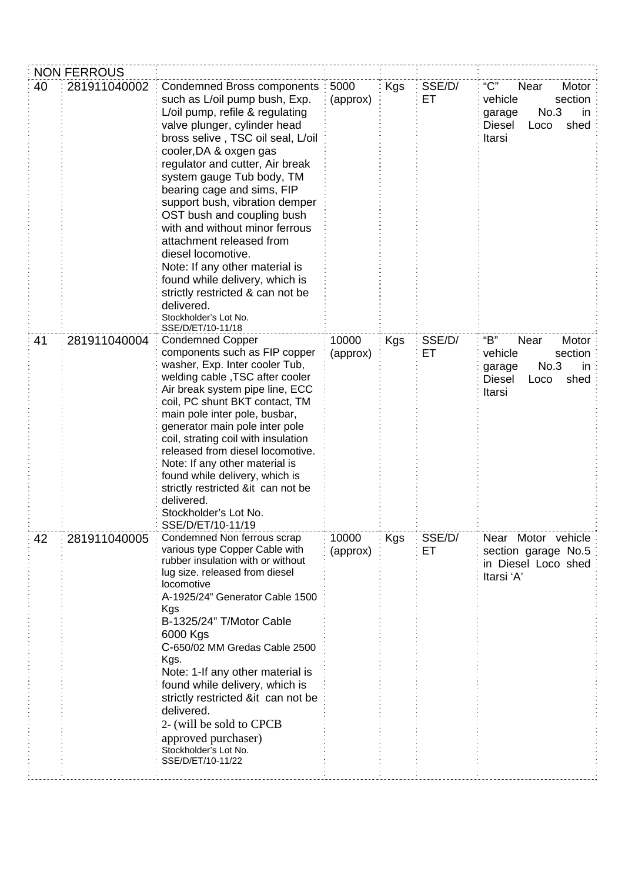|    | <b>NON FERROUS</b> |                                                                                                                                                                                                                                                                                                                                                                                                                                                                                                                                                                                                                            |                   |            |              |                                                                                                                 |
|----|--------------------|----------------------------------------------------------------------------------------------------------------------------------------------------------------------------------------------------------------------------------------------------------------------------------------------------------------------------------------------------------------------------------------------------------------------------------------------------------------------------------------------------------------------------------------------------------------------------------------------------------------------------|-------------------|------------|--------------|-----------------------------------------------------------------------------------------------------------------|
| 40 | 281911040002       | <b>Condemned Bross components</b><br>such as L/oil pump bush, Exp.<br>L/oil pump, refile & regulating<br>valve plunger, cylinder head<br>bross selive, TSC oil seal, L/oil<br>cooler, DA & oxgen gas<br>regulator and cutter, Air break<br>system gauge Tub body, TM<br>bearing cage and sims, FIP<br>support bush, vibration demper<br>OST bush and coupling bush<br>with and without minor ferrous<br>attachment released from<br>diesel locomotive.<br>Note: If any other material is<br>found while delivery, which is<br>strictly restricted & can not be<br>delivered.<br>Stockholder's Lot No.<br>SSE/D/ET/10-11/18 | 5000<br>(approx)  | <b>Kgs</b> | SSE/D/<br>EТ | "C"<br>Near<br>Motor<br>vehicle<br>section<br>No.3<br>in<br>garage<br><b>Diesel</b><br>shed<br>Loco<br>Itarsi   |
| 41 | 281911040004       | <b>Condemned Copper</b><br>components such as FIP copper<br>washer, Exp. Inter cooler Tub,<br>welding cable, TSC after cooler<br>Air break system pipe line, ECC<br>coil, PC shunt BKT contact, TM<br>main pole inter pole, busbar,<br>generator main pole inter pole<br>coil, strating coil with insulation<br>released from diesel locomotive.<br>Note: If any other material is<br>found while delivery, which is<br>strictly restricted ⁢ can not be<br>delivered.<br>Stockholder's Lot No.<br>SSE/D/ET/10-11/19                                                                                                       | 10000<br>(approx) | Kgs        | SSE/D/<br>ЕT | "B"<br>Near<br>Motor:<br>vehicle<br>section<br>No.3<br>in:<br>garage<br>shed<br><b>Diesel</b><br>Loco<br>Itarsi |
| 42 | 281911040005       | Condemned Non ferrous scrap<br>various type Copper Cable with<br>rubber insulation with or without<br>lug size. released from diesel<br>locomotive<br>A-1925/24" Generator Cable 1500<br>Kgs<br>B-1325/24" T/Motor Cable<br>6000 Kgs<br>C-650/02 MM Gredas Cable 2500<br>Kgs.<br>Note: 1-If any other material is<br>found while delivery, which is<br>strictly restricted ⁢ can not be<br>delivered.<br>2- (will be sold to CPCB<br>approved purchaser)<br>Stockholder's Lot No.<br>SSE/D/ET/10-11/22                                                                                                                     | 10000<br>(approx) | Kgs        | SSE/D/<br>EТ | Near Motor vehicle<br>section garage No.5<br>in Diesel Loco shed<br>Itarsi 'A'                                  |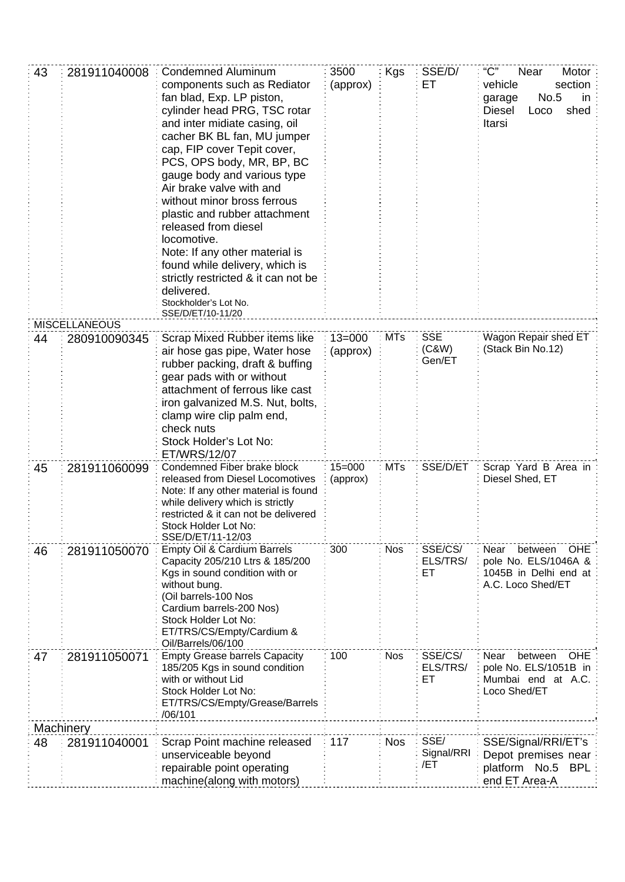| 43 | 281911040008         | <b>Condemned Aluminum</b><br>components such as Rediator<br>fan blad, Exp. LP piston,<br>cylinder head PRG, TSC rotar<br>and inter midiate casing, oil<br>cacher BK BL fan, MU jumper<br>cap, FIP cover Tepit cover,<br>PCS, OPS body, MR, BP, BC<br>gauge body and various type<br>Air brake valve with and<br>without minor bross ferrous<br>plastic and rubber attachment<br>released from diesel<br>locomotive.<br>Note: If any other material is<br>found while delivery, which is<br>strictly restricted & it can not be<br>delivered.<br>Stockholder's Lot No.<br>SSE/D/ET/10-11/20 | 3500<br>(approx)       | Kgs        | SSE/D/<br>ЕT                  | "C"<br>Near<br>Motor:<br>vehicle<br>section<br>No.5<br>in<br>garage<br>shed<br><b>Diesel</b><br>Loco<br>Itarsi |
|----|----------------------|--------------------------------------------------------------------------------------------------------------------------------------------------------------------------------------------------------------------------------------------------------------------------------------------------------------------------------------------------------------------------------------------------------------------------------------------------------------------------------------------------------------------------------------------------------------------------------------------|------------------------|------------|-------------------------------|----------------------------------------------------------------------------------------------------------------|
|    | <b>MISCELLANEOUS</b> |                                                                                                                                                                                                                                                                                                                                                                                                                                                                                                                                                                                            |                        |            |                               |                                                                                                                |
| 44 | 280910090345         | Scrap Mixed Rubber items like<br>air hose gas pipe, Water hose<br>rubber packing, draft & buffing<br>gear pads with or without<br>attachment of ferrous like cast<br>iron galvanized M.S. Nut, bolts,<br>clamp wire clip palm end,<br>check nuts<br>Stock Holder's Lot No:<br>ET/WRS/12/07                                                                                                                                                                                                                                                                                                 | $13 = 000$<br>(approx) | <b>MTs</b> | <b>SSE</b><br>(C&W)<br>Gen/ET | Wagon Repair shed ET<br>(Stack Bin No.12)                                                                      |
| 45 | 281911060099         | Condemned Fiber brake block<br>released from Diesel Locomotives<br>Note: If any other material is found<br>while delivery which is strictly<br>restricted & it can not be delivered<br>Stock Holder Lot No:<br>SSE/D/ET/11-12/03                                                                                                                                                                                                                                                                                                                                                           | $15 = 000$<br>(approx) | <b>MTs</b> | SSE/D/ET                      | Scrap Yard B Area in<br>Diesel Shed, ET                                                                        |
| 46 | 281911050070         | Empty Oil & Cardium Barrels<br>Capacity 205/210 Ltrs & 185/200<br>Kgs in sound condition with or<br>without bung.<br>(Oil barrels-100 Nos<br>Cardium barrels-200 Nos)<br>Stock Holder Lot No:<br>ET/TRS/CS/Empty/Cardium &<br>Oil/Barrels/06/100                                                                                                                                                                                                                                                                                                                                           | 300                    | <b>Nos</b> | SSE/CS/<br>ELS/TRS/<br>ET     | Near<br>between<br><b>OHE</b><br>pole No. ELS/1046A &<br>1045B in Delhi end at<br>A.C. Loco Shed/ET            |
| 47 | 281911050071         | <b>Empty Grease barrels Capacity</b><br>185/205 Kgs in sound condition<br>with or without Lid<br>Stock Holder Lot No:<br>ET/TRS/CS/Empty/Grease/Barrels<br>/06/101                                                                                                                                                                                                                                                                                                                                                                                                                         | 100                    | <b>Nos</b> | SSE/CS/<br>ELS/TRS/<br>ET     | Near<br>between<br>OHE<br>pole No. ELS/1051B in<br>Mumbai end at A.C.<br>Loco Shed/ET                          |
|    | Machinery            |                                                                                                                                                                                                                                                                                                                                                                                                                                                                                                                                                                                            |                        |            |                               |                                                                                                                |
| 48 | 281911040001         | Scrap Point machine released<br>unserviceable beyond<br>repairable point operating<br>machine(along with motors)                                                                                                                                                                                                                                                                                                                                                                                                                                                                           | 117                    | <b>Nos</b> | SSE/<br>Signal/RRI<br>/ET     | SSE/Signal/RRI/ET's<br>Depot premises near<br>platform No.5<br><b>BPL</b><br>end ET Area-A                     |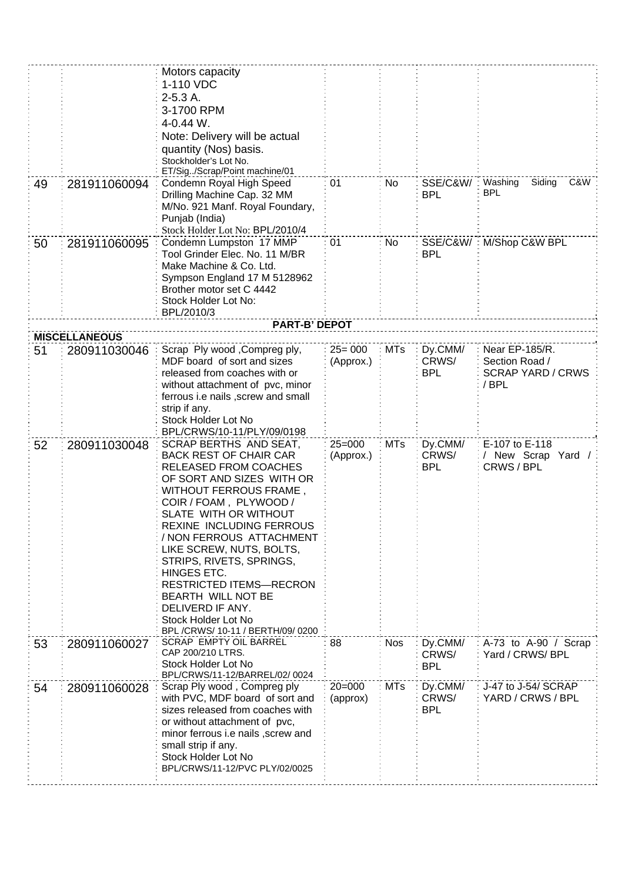|    |                                      | Motors capacity<br>1-110 VDC<br>$2-5.3A$ .<br>3-1700 RPM                                                                                                                                                                                                                                                                                                                                                                                                                               |                         |            |                                |                                                    |
|----|--------------------------------------|----------------------------------------------------------------------------------------------------------------------------------------------------------------------------------------------------------------------------------------------------------------------------------------------------------------------------------------------------------------------------------------------------------------------------------------------------------------------------------------|-------------------------|------------|--------------------------------|----------------------------------------------------|
|    |                                      | 4-0.44 W.<br>Note: Delivery will be actual<br>quantity (Nos) basis.<br>Stockholder's Lot No.<br>ET/Sig/Scrap/Point machine/01                                                                                                                                                                                                                                                                                                                                                          |                         |            |                                |                                                    |
| 49 | 281911060094                         | Condemn Royal High Speed<br>Drilling Machine Cap. 32 MM<br>M/No. 921 Manf. Royal Foundary,<br>Punjab (India)<br>Stock Holder Lot No: BPL/2010/4                                                                                                                                                                                                                                                                                                                                        | 01                      | No         | SSE/C&W/<br><b>BPL</b>         | Washing<br>Siding<br>C&W<br><b>BPL</b>             |
| 50 | 281911060095                         | Condemn Lumpston 17 MMP<br>Tool Grinder Elec. No. 11 M/BR<br>Make Machine & Co. Ltd.<br>Sympson England 17 M 5128962<br>Brother motor set C 4442<br>Stock Holder Lot No:<br>BPL/2010/3                                                                                                                                                                                                                                                                                                 | 01                      | No         | SSE/C&W/<br><b>BPL</b>         | M/Shop C&W BPL                                     |
|    |                                      | <b>PART-B' DEPOT</b>                                                                                                                                                                                                                                                                                                                                                                                                                                                                   |                         |            |                                |                                                    |
| 51 | <b>MISCELLANEOUS</b><br>280911030046 | Scrap Ply wood, Compreg ply,                                                                                                                                                                                                                                                                                                                                                                                                                                                           | $25 = 000$              | <b>MTs</b> | Dy.CMM/                        | Near EP-185/R.                                     |
|    |                                      | MDF board of sort and sizes<br>released from coaches with or<br>without attachment of pvc, minor<br>ferrous i.e nails, screw and small<br>strip if any.<br>Stock Holder Lot No<br>BPL/CRWS/10-11/PLY/09/0198                                                                                                                                                                                                                                                                           | (Approx.)               |            | CRWS/<br><b>BPL</b>            | Section Road /<br><b>SCRAP YARD / CRWS</b><br>/BPL |
| 52 | 280911030048                         | SCRAP BERTHS AND SEAT,<br><b>BACK REST OF CHAIR CAR</b><br><b>RELEASED FROM COACHES</b><br>OF SORT AND SIZES WITH OR<br>WITHOUT FERROUS FRAME,<br>COIR / FOAM, PLYWOOD /<br>SLATE WITH OR WITHOUT<br><b>REXINE INCLUDING FERROUS</b><br>/ NON FERROUS ATTACHMENT<br>LIKE SCREW, NUTS, BOLTS,<br>STRIPS, RIVETS, SPRINGS,<br><b>HINGES ETC.</b><br><b>RESTRICTED ITEMS-RECRON</b><br>BEARTH WILL NOT BE<br>DELIVERD IF ANY.<br>Stock Holder Lot No<br>BPL /CRWS/ 10-11 / BERTH/09/ 0200 | $25 = 000$<br>(Approx.) | <b>MTs</b> | Dy.CMM/<br>CRWS/<br><b>BPL</b> | E-107 to E-118<br>/ New Scrap Yard /<br>CRWS / BPL |
| 53 | 280911060027                         | SCRAP EMPTY OIL BARREL<br>CAP 200/210 LTRS.<br>Stock Holder Lot No<br>BPL/CRWS/11-12/BARREL/02/0024                                                                                                                                                                                                                                                                                                                                                                                    | 88                      | <b>Nos</b> | Dy.CMM/<br>CRWS/<br><b>BPL</b> | A-73 to A-90 / Scrap<br>Yard / CRWS/ BPL           |
| 54 | 280911060028                         | Scrap Ply wood, Compreg ply<br>with PVC, MDF board of sort and<br>sizes released from coaches with<br>or without attachment of pvc,<br>minor ferrous i.e nails , screw and<br>small strip if any.<br>Stock Holder Lot No<br>BPL/CRWS/11-12/PVC PLY/02/0025                                                                                                                                                                                                                             | $20 = 000$<br>(approx)  | <b>MTs</b> | Dy.CMM/<br>CRWS/<br><b>BPL</b> | J-47 to J-54/ SCRAP<br>YARD / CRWS / BPL           |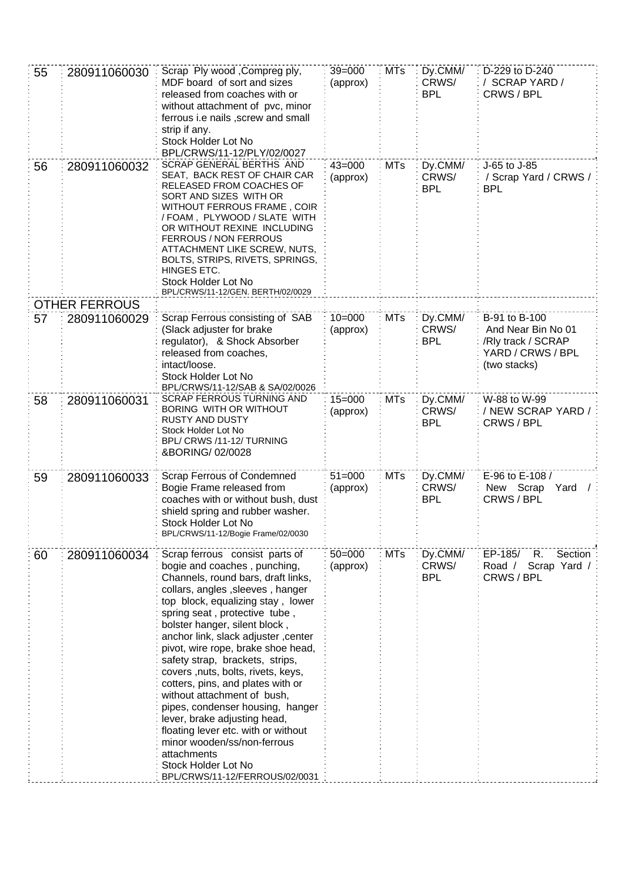| 55 | 280911060030         | Scrap Ply wood , Compreg ply,<br>MDF board of sort and sizes<br>released from coaches with or<br>without attachment of pvc, minor<br>ferrous i.e nails, screw and small<br>strip if any.<br>Stock Holder Lot No<br>BPL/CRWS/11-12/PLY/02/0027                                                                                                                                                                                                                                                                                                                                                                                                                                                | $39 = 000$<br>(approx) | <b>MTs</b> | Dy.CMM/<br>CRWS/<br><b>BPL</b> | D-229 to D-240<br>/ SCRAP YARD /<br>CRWS / BPL                                                 |
|----|----------------------|----------------------------------------------------------------------------------------------------------------------------------------------------------------------------------------------------------------------------------------------------------------------------------------------------------------------------------------------------------------------------------------------------------------------------------------------------------------------------------------------------------------------------------------------------------------------------------------------------------------------------------------------------------------------------------------------|------------------------|------------|--------------------------------|------------------------------------------------------------------------------------------------|
| 56 | 280911060032         | SCRAP GENERAL BERTHS AND<br>SEAT, BACK REST OF CHAIR CAR<br>RELEASED FROM COACHES OF<br>SORT AND SIZES WITH OR<br>WITHOUT FERROUS FRAME, COIR<br>/ FOAM, PLYWOOD / SLATE WITH<br>OR WITHOUT REXINE INCLUDING<br><b>FERROUS / NON FERROUS</b><br>ATTACHMENT LIKE SCREW, NUTS,<br>BOLTS, STRIPS, RIVETS, SPRINGS,<br>HINGES ETC.<br>Stock Holder Lot No<br>BPL/CRWS/11-12/GEN. BERTH/02/0029                                                                                                                                                                                                                                                                                                   | $43 = 000$<br>(approx) | <b>MTs</b> | Dy.CMM/<br>CRWS/<br><b>BPL</b> | J-65 to J-85<br>/ Scrap Yard / CRWS /<br><b>BPL</b>                                            |
|    | <b>OTHER FERROUS</b> |                                                                                                                                                                                                                                                                                                                                                                                                                                                                                                                                                                                                                                                                                              |                        |            |                                |                                                                                                |
| 57 | 280911060029         | Scrap Ferrous consisting of SAB<br>(Slack adjuster for brake<br>regulator), & Shock Absorber<br>released from coaches,<br>intact/loose.<br>Stock Holder Lot No<br>BPL/CRWS/11-12/SAB & SA/02/0026                                                                                                                                                                                                                                                                                                                                                                                                                                                                                            | $10 = 000$<br>(approx) | <b>MTs</b> | Dy.CMM/<br>CRWS/<br><b>BPL</b> | B-91 to B-100<br>And Near Bin No 01<br>/Rly track / SCRAP<br>YARD / CRWS / BPL<br>(two stacks) |
| 58 | 280911060031         | <b>SCRAP FERROUS TURNING AND</b><br>BORING WITH OR WITHOUT<br><b>RUSTY AND DUSTY</b><br>Stock Holder Lot No<br>BPL/ CRWS /11-12/ TURNING<br>&BORING/02/0028                                                                                                                                                                                                                                                                                                                                                                                                                                                                                                                                  | $15 = 000$<br>(approx) | <b>MTs</b> | Dy.CMM/<br>CRWS/<br><b>BPL</b> | W-88 to W-99<br>/ NEW SCRAP YARD /<br>CRWS / BPL                                               |
| 59 | 280911060033         | Scrap Ferrous of Condemned<br>Bogie Frame released from<br>coaches with or without bush, dust<br>shield spring and rubber washer.<br>Stock Holder Lot No<br>BPL/CRWS/11-12/Bogie Frame/02/0030                                                                                                                                                                                                                                                                                                                                                                                                                                                                                               | $51 = 000$<br>(approx) | <b>MTs</b> | Dy.CMM/<br>CRWS/<br><b>BPL</b> | E-96 to E-108 /<br>New Scrap<br>Yard<br>CRWS / BPL                                             |
| 60 | 280911060034         | Scrap ferrous consist parts of<br>bogie and coaches, punching,<br>Channels, round bars, draft links,<br>collars, angles, sleeves, hanger<br>top block, equalizing stay, lower<br>spring seat, protective tube,<br>bolster hanger, silent block,<br>anchor link, slack adjuster, center<br>pivot, wire rope, brake shoe head,<br>safety strap, brackets, strips,<br>covers , nuts, bolts, rivets, keys,<br>cotters, pins, and plates with or<br>without attachment of bush,<br>pipes, condenser housing, hanger<br>lever, brake adjusting head,<br>floating lever etc. with or without<br>minor wooden/ss/non-ferrous<br>attachments<br>Stock Holder Lot No<br>BPL/CRWS/11-12/FERROUS/02/0031 | $50 = 000$<br>(approx) | <b>MTs</b> | Dy.CMM/<br>CRWS/<br><b>BPL</b> | EP-185/<br>R.<br>Section<br>Road / Scrap Yard /<br>CRWS / BPL                                  |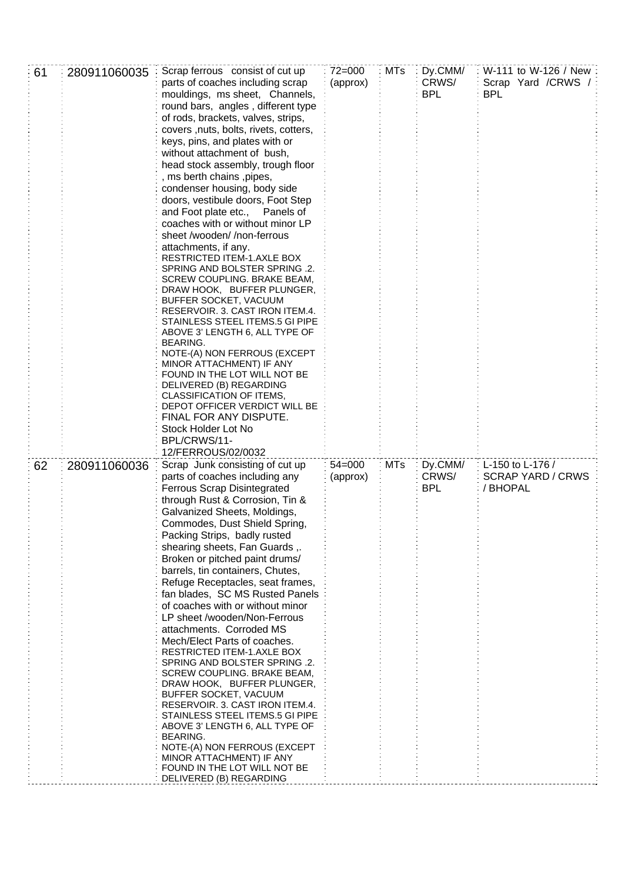| 61 | 280911060035 | Scrap ferrous consist of cut up<br>parts of coaches including scrap<br>mouldings, ms sheet, Channels,<br>round bars, angles, different type<br>of rods, brackets, valves, strips,<br>covers , nuts, bolts, rivets, cotters,<br>keys, pins, and plates with or<br>without attachment of bush,<br>head stock assembly, trough floor<br>, ms berth chains , pipes,<br>condenser housing, body side<br>doors, vestibule doors, Foot Step<br>and Foot plate etc.,<br>Panels of<br>coaches with or without minor LP<br>sheet /wooden//non-ferrous<br>attachments, if any.<br>RESTRICTED ITEM-1.AXLE BOX<br>SPRING AND BOLSTER SPRING .2.<br>SCREW COUPLING. BRAKE BEAM,<br>DRAW HOOK, BUFFER PLUNGER,<br>BUFFER SOCKET, VACUUM<br>RESERVOIR. 3. CAST IRON ITEM.4.<br>STAINLESS STEEL ITEMS.5 GI PIPE<br>ABOVE 3' LENGTH 6, ALL TYPE OF<br><b>BEARING.</b><br>NOTE-(A) NON FERROUS (EXCEPT<br>MINOR ATTACHMENT) IF ANY<br>FOUND IN THE LOT WILL NOT BE<br>DELIVERED (B) REGARDING<br>CLASSIFICATION OF ITEMS,<br>DEPOT OFFICER VERDICT WILL BE<br>FINAL FOR ANY DISPUTE.<br>Stock Holder Lot No<br>BPL/CRWS/11-<br>12/FERROUS/02/0032 | $72 = 000$<br>(approx) | <b>MTs</b> | Dy.CMM/<br>CRWS/<br><b>BPL</b> | W-111 to W-126 / New:<br>Scrap Yard / CRWS /<br><b>BPL</b> |
|----|--------------|--------------------------------------------------------------------------------------------------------------------------------------------------------------------------------------------------------------------------------------------------------------------------------------------------------------------------------------------------------------------------------------------------------------------------------------------------------------------------------------------------------------------------------------------------------------------------------------------------------------------------------------------------------------------------------------------------------------------------------------------------------------------------------------------------------------------------------------------------------------------------------------------------------------------------------------------------------------------------------------------------------------------------------------------------------------------------------------------------------------------------------|------------------------|------------|--------------------------------|------------------------------------------------------------|
| 62 | 280911060036 | Scrap Junk consisting of cut up<br>parts of coaches including any<br><b>Ferrous Scrap Disintegrated</b><br>through Rust & Corrosion, Tin &<br>Galvanized Sheets, Moldings,<br>Commodes, Dust Shield Spring,<br>Packing Strips, badly rusted<br>shearing sheets, Fan Guards,.<br>Broken or pitched paint drums/<br>barrels, tin containers, Chutes,<br>Refuge Receptacles, seat frames,<br>fan blades, SC MS Rusted Panels<br>of coaches with or without minor<br>LP sheet /wooden/Non-Ferrous<br>attachments. Corroded MS<br>Mech/Elect Parts of coaches.<br>RESTRICTED ITEM-1.AXLE BOX<br>SPRING AND BOLSTER SPRING .2.<br>SCREW COUPLING. BRAKE BEAM,<br>DRAW HOOK, BUFFER PLUNGER,<br>BUFFER SOCKET, VACUUM<br>RESERVOIR. 3. CAST IRON ITEM.4.<br>STAINLESS STEEL ITEMS.5 GI PIPE<br>ABOVE 3' LENGTH 6, ALL TYPE OF<br>BEARING.<br>NOTE-(A) NON FERROUS (EXCEPT<br>MINOR ATTACHMENT) IF ANY<br>FOUND IN THE LOT WILL NOT BE<br>DELIVERED (B) REGARDING                                                                                                                                                                      | $54 = 000$<br>(approx) | <b>MTs</b> | Dy.CMM/<br>CRWS/<br><b>BPL</b> | L-150 to L-176 /<br><b>SCRAP YARD / CRWS</b><br>/ BHOPAL   |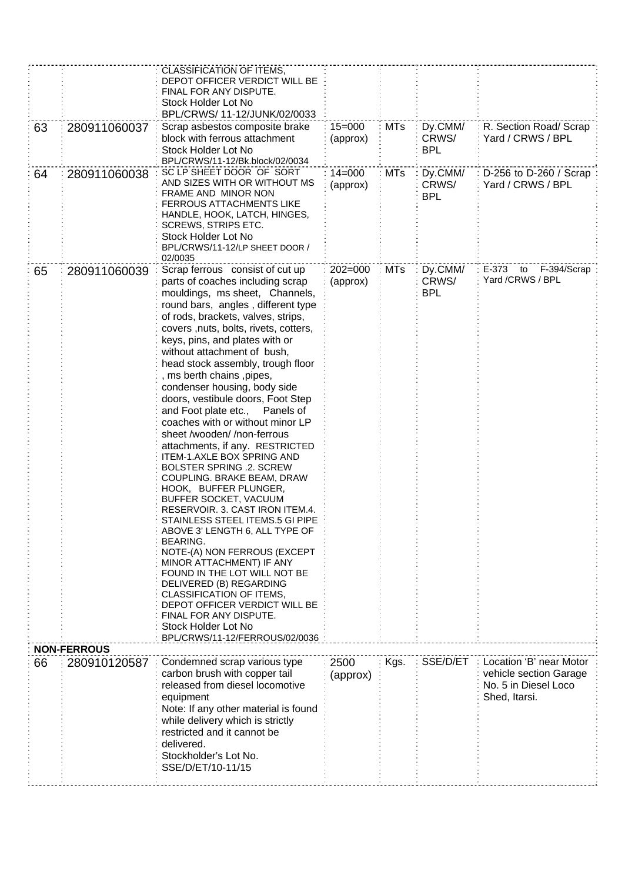| 63<br>64 | 280911060037<br>280911060038       | CLASSIFICATION OF ITEMS.<br>DEPOT OFFICER VERDICT WILL BE<br>FINAL FOR ANY DISPUTE.<br>Stock Holder Lot No<br>BPL/CRWS/ 11-12/JUNK/02/0033<br>Scrap asbestos composite brake<br>block with ferrous attachment<br>Stock Holder Lot No<br>BPL/CRWS/11-12/Bk.block/02/0034<br>SC LP SHEET DOOR OF SORT<br>AND SIZES WITH OR WITHOUT MS<br>FRAME AND MINOR NON<br><b>FERROUS ATTACHMENTS LIKE</b><br>HANDLE, HOOK, LATCH, HINGES,<br>SCREWS, STRIPS ETC.<br>Stock Holder Lot No<br>BPL/CRWS/11-12/LP SHEET DOOR /<br>02/0035                                                                                                                                                                                                                                                                                                                                                                                                                                                                                                                                                                                                           | $15 = 000$<br>(approx)<br>$14 = 000$<br>(approx) | <b>MTs</b><br>MTs | Dy.CMM/<br>CRWS/<br><b>BPL</b><br>Dy.CMM/<br>CRWS/<br><b>BPL</b> | R. Section Road/ Scrap<br>Yard / CRWS / BPL<br>D-256 to D-260 / Scrap<br>Yard / CRWS / BPL |
|----------|------------------------------------|------------------------------------------------------------------------------------------------------------------------------------------------------------------------------------------------------------------------------------------------------------------------------------------------------------------------------------------------------------------------------------------------------------------------------------------------------------------------------------------------------------------------------------------------------------------------------------------------------------------------------------------------------------------------------------------------------------------------------------------------------------------------------------------------------------------------------------------------------------------------------------------------------------------------------------------------------------------------------------------------------------------------------------------------------------------------------------------------------------------------------------|--------------------------------------------------|-------------------|------------------------------------------------------------------|--------------------------------------------------------------------------------------------|
| 65       | 280911060039                       | Scrap ferrous consist of cut up<br>parts of coaches including scrap<br>mouldings, ms sheet, Channels,<br>round bars, angles, different type<br>of rods, brackets, valves, strips,<br>covers , nuts, bolts, rivets, cotters,<br>keys, pins, and plates with or<br>without attachment of bush,<br>head stock assembly, trough floor<br>, ms berth chains , pipes,<br>condenser housing, body side<br>doors, vestibule doors, Foot Step<br>and Foot plate etc.,<br>Panels of<br>coaches with or without minor LP<br>sheet /wooden/ /non-ferrous<br>attachments, if any. RESTRICTED<br>ITEM-1.AXLE BOX SPRING AND<br><b>BOLSTER SPRING .2. SCREW</b><br>COUPLING. BRAKE BEAM, DRAW<br>HOOK, BUFFER PLUNGER,<br>BUFFER SOCKET, VACUUM<br>RESERVOIR. 3. CAST IRON ITEM.4.<br>STAINLESS STEEL ITEMS.5 GI PIPE<br>ABOVE 3' LENGTH 6, ALL TYPE OF<br><b>BEARING.</b><br>NOTE-(A) NON FERROUS (EXCEPT<br>MINOR ATTACHMENT) IF ANY<br>FOUND IN THE LOT WILL NOT BE<br>DELIVERED (B) REGARDING<br>CLASSIFICATION OF ITEMS,<br>DEPOT OFFICER VERDICT WILL BE<br>FINAL FOR ANY DISPUTE.<br>Stock Holder Lot No<br>BPL/CRWS/11-12/FERROUS/02/0036 | $202 = 000$<br>(approx)                          | <b>MTs</b>        | Dy.CMM/<br>CRWS/<br><b>BPL</b>                                   | E-373<br>F-394/Scrap<br>to<br>Yard /CRWS / BPL                                             |
| 66       | <b>NON-FERROUS</b><br>280910120587 | Condemned scrap various type<br>carbon brush with copper tail<br>released from diesel locomotive<br>equipment<br>Note: If any other material is found<br>while delivery which is strictly                                                                                                                                                                                                                                                                                                                                                                                                                                                                                                                                                                                                                                                                                                                                                                                                                                                                                                                                          | 2500<br>(approx)                                 | Kgs.              | SSE/D/ET                                                         | Location 'B' near Motor<br>vehicle section Garage<br>No. 5 in Diesel Loco<br>Shed, Itarsi. |
|          |                                    | restricted and it cannot be<br>delivered.<br>Stockholder's Lot No.<br>SSE/D/ET/10-11/15                                                                                                                                                                                                                                                                                                                                                                                                                                                                                                                                                                                                                                                                                                                                                                                                                                                                                                                                                                                                                                            |                                                  |                   |                                                                  |                                                                                            |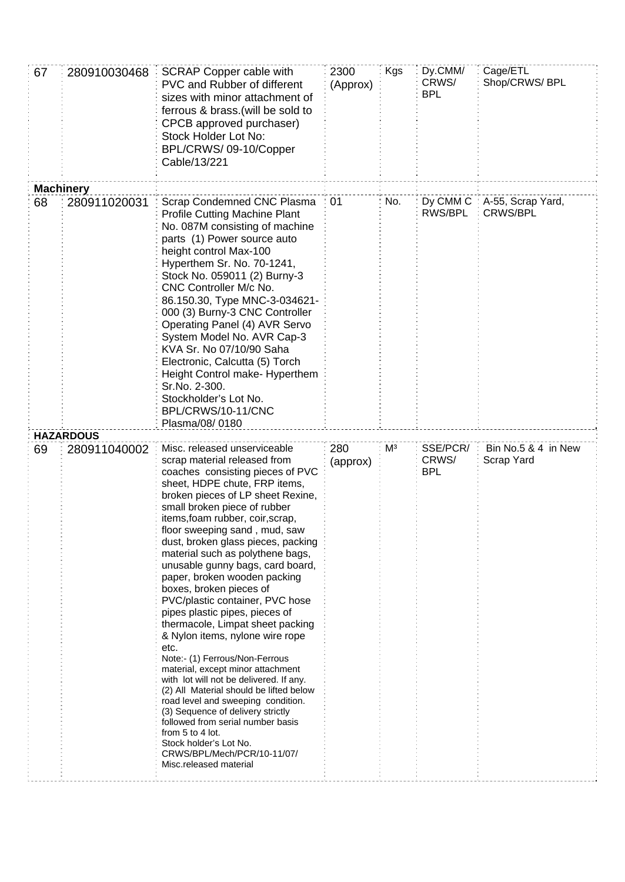| 67               | 280910030468     | <b>SCRAP Copper cable with</b><br><b>PVC and Rubber of different</b><br>sizes with minor attachment of<br>ferrous & brass. (will be sold to<br>CPCB approved purchaser)<br>Stock Holder Lot No:<br>BPL/CRWS/09-10/Copper<br>Cable/13/221                                                                                                                                                                                                                                                                                                                                                                                                                                                                                                                                                                                                                                                                                                                                                     | 2300<br><b>Kgs</b><br>Dy.CMM/<br>CRWS/<br>(Approx)<br><b>BPL</b> |     |                                 | Cage/ETL<br>Shop/CRWS/ BPL           |
|------------------|------------------|----------------------------------------------------------------------------------------------------------------------------------------------------------------------------------------------------------------------------------------------------------------------------------------------------------------------------------------------------------------------------------------------------------------------------------------------------------------------------------------------------------------------------------------------------------------------------------------------------------------------------------------------------------------------------------------------------------------------------------------------------------------------------------------------------------------------------------------------------------------------------------------------------------------------------------------------------------------------------------------------|------------------------------------------------------------------|-----|---------------------------------|--------------------------------------|
| <b>Machinery</b> |                  |                                                                                                                                                                                                                                                                                                                                                                                                                                                                                                                                                                                                                                                                                                                                                                                                                                                                                                                                                                                              |                                                                  |     |                                 |                                      |
| 68               | 280911020031     | Scrap Condemned CNC Plasma<br><b>Profile Cutting Machine Plant</b><br>No. 087M consisting of machine<br>parts (1) Power source auto<br>height control Max-100<br>Hyperthem Sr. No. 70-1241,<br>Stock No. 059011 (2) Burny-3<br>CNC Controller M/c No.<br>86.150.30, Type MNC-3-034621-<br>000 (3) Burny-3 CNC Controller<br>Operating Panel (4) AVR Servo<br>System Model No. AVR Cap-3<br>KVA Sr. No 07/10/90 Saha<br>Electronic, Calcutta (5) Torch<br>Height Control make- Hyperthem<br>Sr.No. 2-300.<br>Stockholder's Lot No.<br>BPL/CRWS/10-11/CNC<br>Plasma/08/0180                                                                                                                                                                                                                                                                                                                                                                                                                    | 01                                                               | No. | Dy CMM C<br>RWS/BPL             | A-55, Scrap Yard,<br><b>CRWS/BPL</b> |
|                  | <b>HAZARDOUS</b> |                                                                                                                                                                                                                                                                                                                                                                                                                                                                                                                                                                                                                                                                                                                                                                                                                                                                                                                                                                                              |                                                                  |     |                                 |                                      |
| 69               | 280911040002     | Misc. released unserviceable<br>scrap material released from<br>coaches consisting pieces of PVC<br>sheet, HDPE chute, FRP items,<br>broken pieces of LP sheet Rexine,<br>small broken piece of rubber<br>items, foam rubber, coir, scrap,<br>floor sweeping sand, mud, saw<br>dust, broken glass pieces, packing<br>material such as polythene bags,<br>unusable gunny bags, card board,<br>paper, broken wooden packing<br>boxes, broken pieces of<br>PVC/plastic container, PVC hose<br>pipes plastic pipes, pieces of<br>thermacole, Limpat sheet packing<br>& Nylon items, nylone wire rope<br>etc.<br>Note:- (1) Ferrous/Non-Ferrous<br>material, except minor attachment<br>with lot will not be delivered. If any.<br>(2) All Material should be lifted below<br>road level and sweeping condition.<br>(3) Sequence of delivery strictly<br>followed from serial number basis<br>from 5 to 4 lot.<br>Stock holder's Lot No.<br>CRWS/BPL/Mech/PCR/10-11/07/<br>Misc.released material | 280<br>(approx)                                                  | Mз  | SSE/PCR/<br>CRWS/<br><b>BPL</b> | Bin No.5 & 4 in New<br>Scrap Yard    |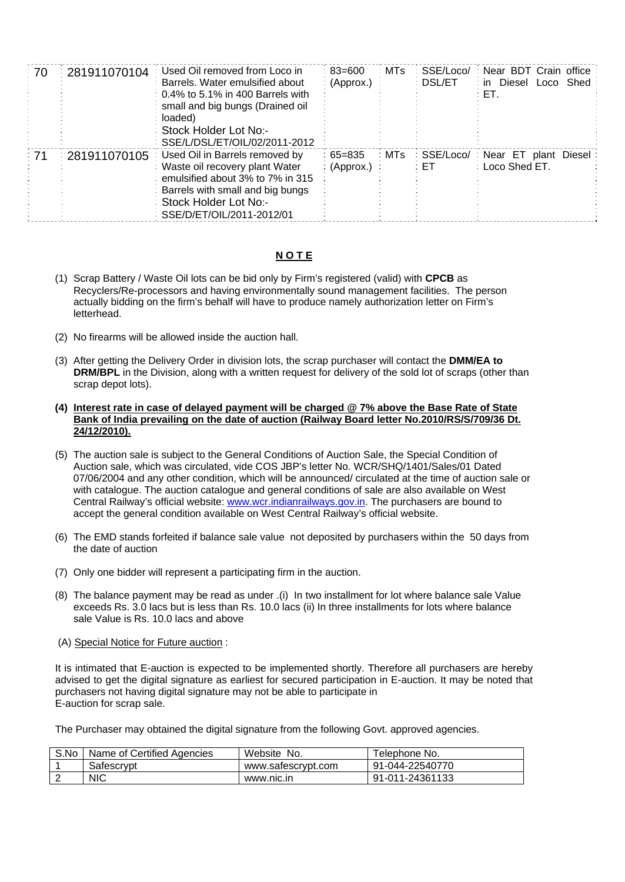| ਂ 70 | 281911070104 | Used Oil removed from Loco in<br>Barrels. Water emulsified about<br>$0.4\%$ to 5.1% in 400 Barrels with<br>small and big bungs (Drained oil<br>loaded)<br>Stock Holder Lot No:-<br>SSE/L/DSL/ET/OIL/02/2011-2012 | : 83=600<br>: (Approx.) | ∶ MTs | SSE/Loco/<br>: DSL/ET | : Near BDT Crain office<br>Diesel Loco Shed<br>∶ in :<br>: ET. |              |
|------|--------------|------------------------------------------------------------------------------------------------------------------------------------------------------------------------------------------------------------------|-------------------------|-------|-----------------------|----------------------------------------------------------------|--------------|
| - 71 | 281911070105 | Used Oil in Barrels removed by<br>Waste oil recovery plant Water<br>emulsified about 3% to 7% in 315<br>Barrels with small and big bungs<br>Stock Holder Lot No:-<br>SSE/D/ET/OIL/2011-2012/01                   | ∶65=835<br>(Approx.)    | ∶ MTs | : SSE/Loco/<br>: ET   | : Near ET<br>Loco Shed ET.                                     | plant Diesel |

## **N O T E**

- (1) Scrap Battery / Waste Oil lots can be bid only by Firm's registered (valid) with **CPCB** as Recyclers/Re-processors and having environmentally sound management facilities. The person actually bidding on the firm's behalf will have to produce namely authorization letter on Firm's letterhead.
- (2) No firearms will be allowed inside the auction hall.
- (3) After getting the Delivery Order in division lots, the scrap purchaser will contact the **DMM/EA to DRM/BPL** in the Division, along with a written request for delivery of the sold lot of scraps (other than scrap depot lots).
- **(4) Interest rate in case of delayed payment will be charged @ 7% above the Base Rate of State Bank of India prevailing on the date of auction (Railway Board letter No.2010/RS/S/709/36 Dt. 24/12/2010).**
- (5) The auction sale is subject to the General Conditions of Auction Sale, the Special Condition of Auction sale, which was circulated, vide COS JBP's letter No. WCR/SHQ/1401/Sales/01 Dated 07/06/2004 and any other condition, which will be announced/ circulated at the time of auction sale or with catalogue. The auction catalogue and general conditions of sale are also available on West Central Railway's official website: [www.wcr.indianrailways.gov.in.](http://www.wcr.indianrailways.gov.in/) The purchasers are bound to accept the general condition available on West Central Railway's official website.
- (6) The EMD stands forfeited if balance sale value not deposited by purchasers within the 50 days from the date of auction
- (7) Only one bidder will represent a participating firm in the auction.
- (8) The balance payment may be read as under .(i) In two installment for lot where balance sale Value exceeds Rs. 3.0 lacs but is less than Rs. 10.0 lacs (ii) In three installments for lots where balance sale Value is Rs. 10.0 lacs and above
- (A) Special Notice for Future auction :

It is intimated that E-auction is expected to be implemented shortly. Therefore all purchasers are hereby advised to get the digital signature as earliest for secured participation in E-auction. It may be noted that purchasers not having digital signature may not be able to participate in E-auction for scrap sale.

The Purchaser may obtained the digital signature from the following Govt. approved agencies.

| S.No | Name of Certified Agencies | Website No.        | ⊤elephone No.   |
|------|----------------------------|--------------------|-----------------|
|      | Safescrvpt                 | www.safescrypt.com | 91-044-22540770 |
|      | <b>NIC</b>                 | www.nic.in         | 91-011-24361133 |